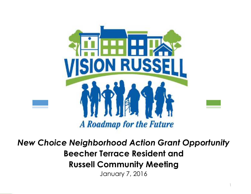

*New Choice Neighborhood Action Grant Opportunity* **Beecher Terrace Resident and Russell Community Meeting**  January 7, 2016

1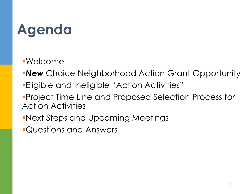# **Agenda**

Welcome

- **New** Choice Neighborhood Action Grant Opportunity
- Eligible and Ineligible "Action Activities"
- Project Time Line and Proposed Selection Process for Action Activities
- Next Steps and Upcoming Meetings
- Questions and Answers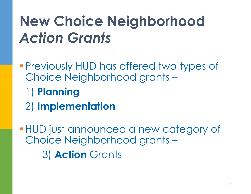# **New Choice Neighborhood**  *Action Grants*

- Previously HUD has offered two types of Choice Neighborhood grants –
	- 1) **Planning**
	- 2) **Implementation**

HUD just announced a new category of Choice Neighborhood grants –

3) **Action** Grants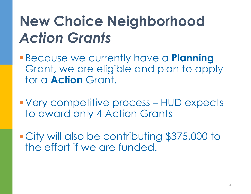### **New Choice Neighborhood**  *Action Grants*

- Because we currently have a **Planning** Grant, we are eligible and plan to apply for a **Action** Grant.
- Very competitive process HUD expects to award only 4 Action Grants
- City will also be contributing \$375,000 to the effort if we are funded.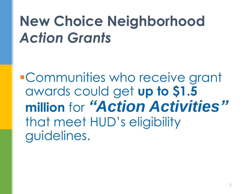## **New Choice Neighborhood**  *Action Grants*

Communities who receive grant awards could get **up to \$1.5 million** for *"Action Activities"* that meet HUD's eligibility guidelines.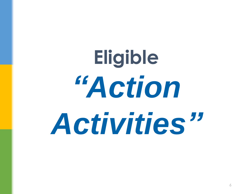**Eligible**  *"Action Activities"*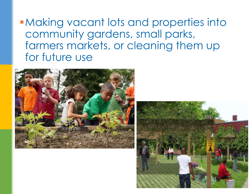Making vacant lots and properties into community gardens, small parks, farmers markets, or cleaning them up for future use



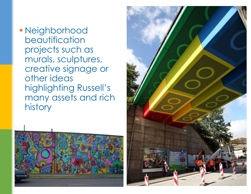Neighborhood beautification projects such as murals, sculptures, creative signage or other ideas highlighting Russell's many assets and rich history



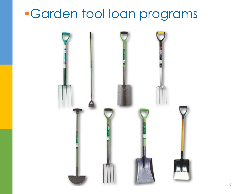#### Garden tool loan programs

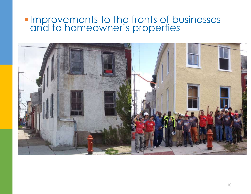#### **Improvements to the fronts of businesses** and to homeowner's properties

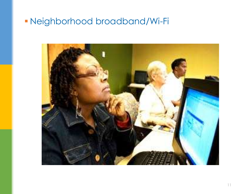#### Neighborhood broadband/Wi-Fi

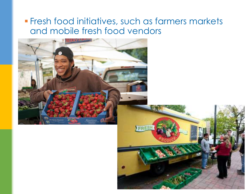#### **Fresh food initiatives, such as farmers markets** and mobile fresh food vendors



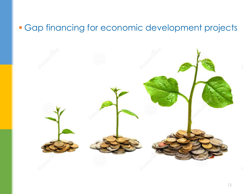#### Gap financing for economic development projects

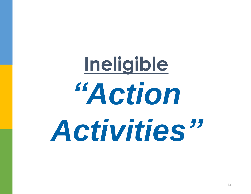# **Ineligible**  *"Action Activities"*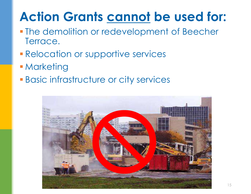#### **Action Grants cannot be used for:**

- **The demolition or redevelopment of Beecher** Terrace.
- **Relocation or supportive services**
- **Marketing**
- **Basic infrastructure or city services**

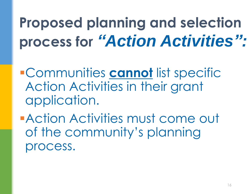**Proposed planning and selection process for** *"Action Activities":*

- Communities **cannot** list specific Action Activities in their grant application.
- Action Activities must come out of the community's planning process.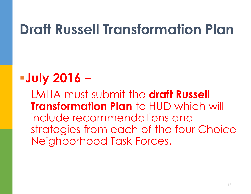# **Draft Russell Transformation Plan**

#### **July 2016** –

LMHA must submit the **draft Russell Transformation Plan** to HUD which will include recommendations and strategies from each of the four Choice Neighborhood Task Forces.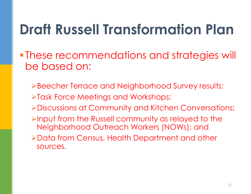# **Draft Russell Transformation Plan**

- These recommendations and strategies will be based on:
	- Beecher Terrace and Neighborhood Survey results;
	- Task Force Meetings and Workshops;
	- Discussions at Community and Kitchen Conversations;
	- $\triangleright$ Input from the Russell community as relayed to the Neighborhood Outreach Workers (NOWs); and
	- Data from Census, Health Department and other sources.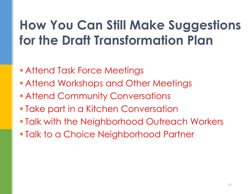#### **How You Can Still Make Suggestions for the Draft Transformation Plan**

- **Attend Task Force Meetings**
- **Attend Workshops and Other Meetings**
- **Attend Community Conversations**
- **Take part in a Kitchen Conversation**
- **Talk with the Neighborhood Outreach Workers**
- Talk to a Choice Neighborhood Partner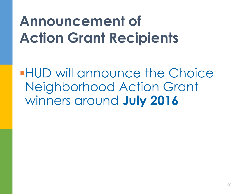# **Announcement of Action Grant Recipients**

**HUD will announce the Choice** Neighborhood Action Grant winners around **July 2016**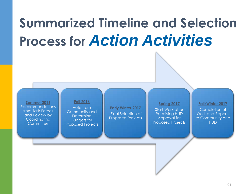# **Summarized Timeline and Selection Process for** *Action Activities*

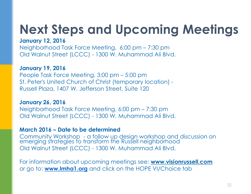#### **Next Steps and Upcoming Meetings**

#### **January 12, 2016**

Neighborhood Task Force Meeting, 6:00 pm – 7:30 pm Old Walnut Street (LCCC) - 1300 W. Muhammad Ali Blvd.

#### **January 19, 2016**

People Task Force Meeting, 3:00 pm – 5:00 pm St. Peter's United Church of Christ (temporary location) - Russell Plaza, 1407 W. Jefferson Street, Suite 120

**January 26, 2016** Neighborhood Task Force Meeting, 6:00 pm – 7:30 pm Old Walnut Street (LCCC) - 1300 W. Muhammad Ali Blvd.

#### **March 2016 – Date to be determined**

Community Workshop - a follow up design workshop and discussion on emerging strategies to transform the Russell neighborhood Old Walnut Street (LCCC) - 1300 W. Muhammad Ali Blvd.

For information about upcoming meetings see: **www.visionrussell.com**  or go to: **[www.lmha1.org](http://www.lmha1.org)** and click on the HOPE VI/Choice tab